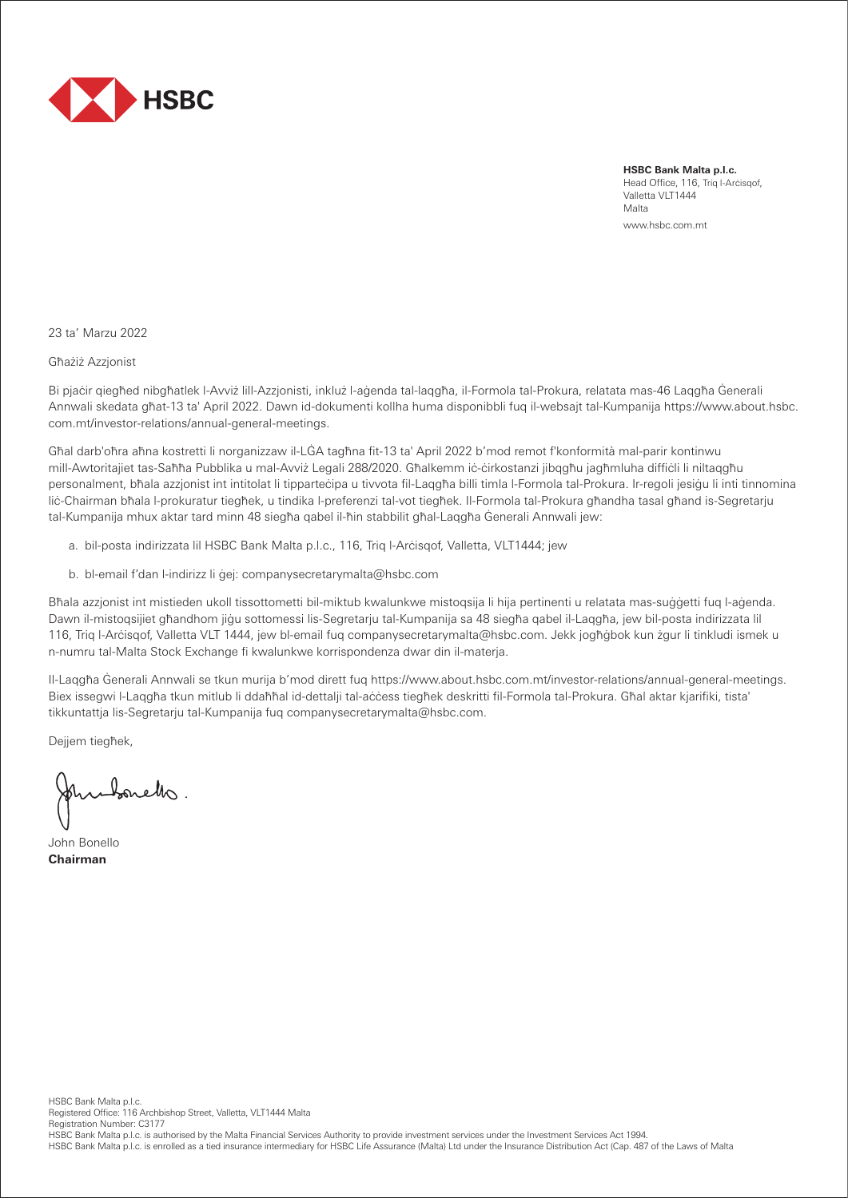

**HSBC Bank Malta p.l.c.** Head Office, 116, Triq l-Arċisqof, Valletta VLT1444 Malta www.hsbc.com.mt

23 ta' Marzu 2022

Għażiż Azzjonist

Bi pjaċir qiegħed nibgħatlek l-Avviż lill-Azzjonisti, inkluż l-aġenda tal-laqgħa, il-Formola tal-Prokura, relatata mas-46 Laqgħa Ġenerali Annwali skedata għat-13 ta' April 2022. Dawn id-dokumenti kollha huma disponibbli fuq il-websajt tal-Kumpanija https://www.about.hsbc. com.mt/investor-relations/annual-general-meetings.

Għal darb'oħra aħna kostretti li norganizzaw il-LĠA tagħna fit-13 ta' April 2022 b'mod remot f'konformità mal-parir kontinwu mill-Awtoritajiet tas-Saħħa Pubblika u mal-Avviż Legali 288/2020. Għalkemm iċ-ċirkostanzi jibqgħu jagħmluha diffiċli li niltaqgħu personalment, bħala azzjonist int intitolat li tipparteċipa u tivvota fil-Laqgħa billi timla l-Formola tal-Prokura. Ir-regoli jesiġu li inti tinnomina liċ-Chairman bħala l-prokuratur tiegħek, u tindika l-preferenzi tal-vot tiegħek. Il-Formola tal-Prokura għandha tasal għand is-Segretarju tal-Kumpanija mhux aktar tard minn 48 siegħa qabel il-ħin stabbilit għal-Laqgħa Ġenerali Annwali jew:

- a. bil-posta indirizzata lil HSBC Bank Malta p.l.c., 116, Triq l-Arċisqof, Valletta, VLT1444; jew
- b. bl-email f'dan l-indirizz li ġej: companysecretarymalta@hsbc.com

Bħala azzjonist int mistieden ukoll tissottometti bil-miktub kwalunkwe mistoqsija li hija pertinenti u relatata mas-suġġetti fuq l-aġenda. Dawn il-mistoqsijiet għandhom jiġu sottomessi lis-Segretarju tal-Kumpanija sa 48 siegħa qabel il-Laqgħa, jew bil-posta indirizzata lil 116, Triq l-Arċisqof, Valletta VLT 1444, jew bl-email fuq companysecretarymalta@hsbc.com. Jekk jogħġbok kun żgur li tinkludi ismek u n-numru tal-Malta Stock Exchange fi kwalunkwe korrispondenza dwar din il-materja.

Il-Laqgħa Ġenerali Annwali se tkun murija b'mod dirett fuq https://www.about.hsbc.com.mt/investor-relations/annual-general-meetings. Biex issegwi l-Laqqħa tkun mitlub li ddaħħal id-dettalji tal-aċċess tieqħek deskritti fil-Formola tal-Prokura. Għal aktar kjarifiki, tista' tikkuntattja lis-Segretarju tal-Kumpanija fuq companysecretarymalta@hsbc.com.

Dejjem tiegħek,

John bonetto.

John Bonello **Chairman**